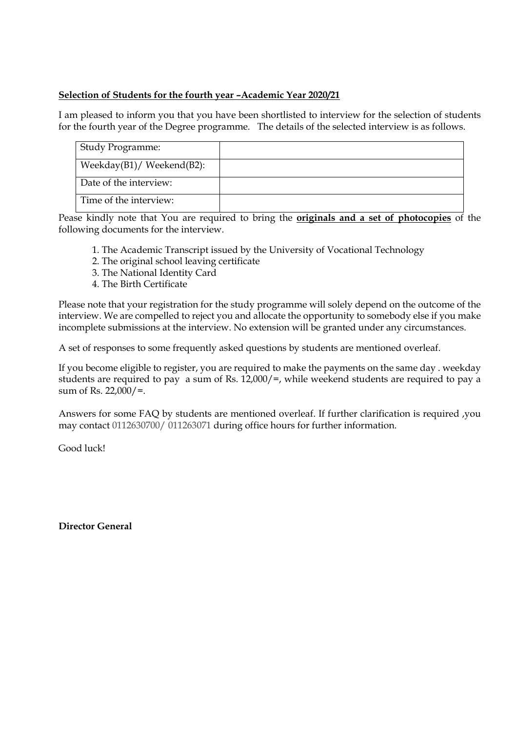## **Selection of Students for the fourth year –Academic Year 2020/21**

I am pleased to inform you that you have been shortlisted to interview for the selection of students for the fourth year of the Degree programme. The details of the selected interview is as follows.

| <b>Study Programme:</b>          |  |
|----------------------------------|--|
| Weekday $(B1)$ /Weekend $(B2)$ : |  |
| Date of the interview:           |  |
| Time of the interview:           |  |

Pease kindly note that You are required to bring the **originals and a set of photocopies** of the following documents for the interview.

- 1. The Academic Transcript issued by the University of Vocational Technology
- 2. The original school leaving certificate
- 3. The National Identity Card
- 4. The Birth Certificate

Please note that your registration for the study programme will solely depend on the outcome of the interview. We are compelled to reject you and allocate the opportunity to somebody else if you make incomplete submissions at the interview. No extension will be granted under any circumstances.

A set of responses to some frequently asked questions by students are mentioned overleaf.

If you become eligible to register, you are required to make the payments on the same day . weekday students are required to pay a sum of Rs. 12,000/=, while weekend students are required to pay a sum of Rs. 22,000/=.

Answers for some FAQ by students are mentioned overleaf. If further clarification is required ,you may contact 0112630700/ 011263071 during office hours for further information.

Good luck!

**Director General**